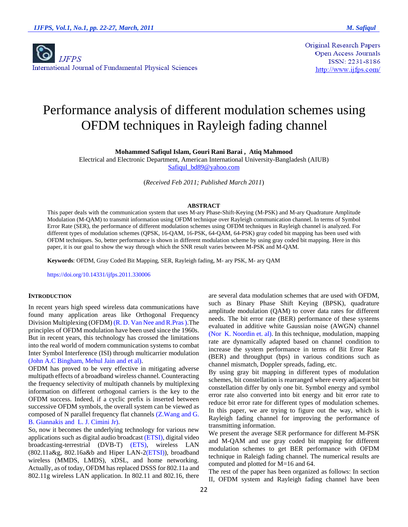

**Original Research Papers Open Access Journals** ISSN: 2231-8186 http://www.ijfps.com/

# Performance analysis of different modulation schemes using OFDM techniques in Rayleigh fading channel

**Mohammed Safiqul Islam, Gouri Rani Barai , Atiq Mahmood**

Electrical and Electronic Department, American International University-Bangladesh (AIUB) [Safiqul\\_bd89@yahoo.com](mailto:Safiqul_bd89@yahoo.com)

(*Received Feb 2011; Published March 2011*)

### **ABSTRACT**

This paper deals with the communication system that uses M-ary Phase-Shift-Keying (M-PSK) and M-ary Quadrature Amplitude Modulation (M-QAM) to transmit information using OFDM technique over Rayleigh communication channel. In terms of Symbol Error Rate (SER), the performance of different modulation schemes using OFDM techniques in Rayleigh channel is analyzed. For different types of modulation schemes (QPSK, 16-QAM, 16-PSK, 64-QAM, 64-PSK) gray coded bit mapping has been used with OFDM techniques. So, better performance is shown in different modulation scheme by using gray coded bit mapping. Here in this paper, it is our goal to show the way through which the SNR result varies between M-PSK and M-QAM.

**Keywords**: OFDM, Gray Coded Bit Mapping, SER, Rayleigh fading, M- ary PSK, M- ary QAM

https://doi.org/10.14331/ijfps.2011.330006

## **INTRODUCTION**

In recent years high speed wireless data communications have found many application areas like Orthogonal Frequency Division Multiplexing (OFDM) (R. D. Van Nee and R.Pras ).The principles of OFDM modulation have been used since the 1960s. But in recent years, this technology has crossed the limitations into the real world of modern communication systems to combat Inter Symbol Interference (ISI) through multicarrier modulation (John A.C Bingham, Mehul Jain and et al).

OFDM has proved to be very effective in mitigating adverse multipath effects of a broadband wireless channel. Counteracting the frequency selectivity of multipath channels by multiplexing information on different orthogonal carriers is the key to the OFDM success. Indeed, if a cyclic prefix is inserted between successive OFDM symbols, the overall system can be viewed as composed of N parallel frequency flat channels (Z.Wang and G. B. Giannakis and L. J. Cimini Jr).

So, now it becomes the underlying technology for various new applications such as digital audio broadcast (ETSI), digital video broadcasting-terrestrial (DVB-T) (ETS), wireless LAN (802.11a&g, 802.16a&b and Hiper LAN-2(ETSI)), broadband wireless (MMDS, LMDS), xDSL, and home networking. Actually, as of today, OFDM has replaced DSSS for 802.11a and 802.11g wireless LAN application. In 802.11 and 802.16, there are several data modulation schemes that are used with OFDM, such as Binary Phase Shift Keying (BPSK), quadrature amplitude modulation (QAM) to cover data rates for different needs. The bit error rate (BER) performance of these systems evaluated in additive white Gaussian noise (AWGN) channel (Nor K. Noordin et. al). In this technique, modulation, mapping rate are dynamically adapted based on channel condition to increase the system performance in terms of Bit Error Rate (BER) and throughput (bps) in various conditions such as channel mismatch, Doppler spreads, fading, etc.

By using gray bit mapping in different types of modulation schemes, bit constellation is rearranged where every adjacent bit constellation differ by only one bit. Symbol energy and symbol error rate also converted into bit energy and bit error rate to reduce bit error rate for different types of modulation schemes. In this paper, we are trying to figure out the way, which is Rayleigh fading channel for improving the performance of transmitting information.

We present the average SER performance for different M-PSK and M-QAM and use gray coded bit mapping for different modulation schemes to get BER performance with OFDM technique in Raleigh fading channel. The numerical results are computed and plotted for M=16 and 64.

The rest of the paper has been organized as follows: In section II, OFDM system and Rayleigh fading channel have been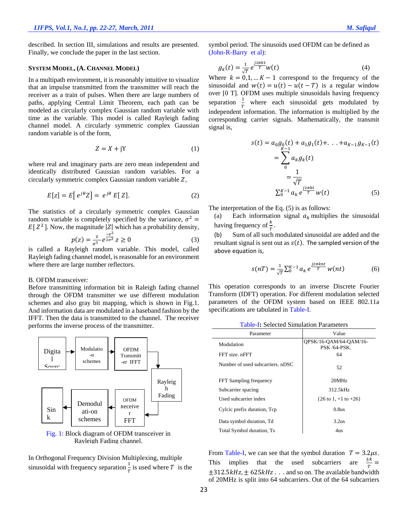described. In section III, simulations and results are presented. Finally, we conclude the paper in the last section.

#### **SYSTEM MODEL, (A. CHANNEL MODEL)**

In a multipath environment, it is reasonably intuitive to visualize that an impulse transmitted from the transmitter will reach the receiver as a train of pulses. When there are large numbers of paths, applying Central Limit Theorem, each path can be modeled as circularly complex Gaussian random variable with time as the variable. This model is called Rayleigh fading channel model. A circularly symmetric complex Gaussian random variable is of the form,

$$
Z = X + jY \tag{1}
$$

where real and imaginary parts are zero mean independent and identically distributed Gaussian random variables. For a circularly symmetric complex Gaussian random variable *Z*,

$$
E[z] = E[e^{j\theta}Z] = e^{j\theta} E[Z].
$$
 (2)

The statistics of a circularly symmetric complex Gaussian random variable is completely specified by the variance,  $\sigma^2$  =  $E[Z^2]$ . Now, the magnitude |Z| which has a probability density,

$$
p(z) = \frac{z}{\sigma^3} e^{\frac{-z^2}{2\sigma^2}} z \ge 0
$$
 (3)

is called a Rayleigh random variable. This model, called Rayleigh fading channel model, is reasonable for an environment where there are large number reflectors.

## B. OFDM transceiver*:*

Before transmitting information bit in Raleigh fading channel through the OFDM transmitter we use different modulation schemes and also gray bit mapping, which is shown in Fig.1. And information data are modulated in a baseband fashion by the IFFT. Then the data is transmitted to the channel. The receiver performs the inverse process of the transmitter.





In Orthogonal Frequency Division Multiplexing, multiple sinusoidal with frequency separation  $\frac{1}{T}$  is used where T is the symbol period. The sinusoids used OFDM can be defined as (John-R-Barry et al):

$$
g_k(t) = \frac{1}{\sqrt{T}} e^{\frac{j2\pi kt}{T}} w(t)
$$
 (4)

Where  $k = 0,1,... K - 1$  correspond to the frequency of the sinusoidal and  $w(t) = u(t) - u(t - T)$  is a regular window over [0 T]. OFDM uses multiple sinusoidals having frequency separation  $\frac{1}{T}$  where each sinusoidal gets modulated by independent information. The information is multiplied by the corresponding carrier signals. Mathematically, the transmit signal is,

$$
s(t) = a_0 g_0(t) + a_1 g_1(t) + \dots + a_{K-1} g_{K-1}(t)
$$
  
= 
$$
\sum_{0}^{K-1} a_k g_k(t)
$$
  
= 
$$
\frac{1}{\sqrt{T}}
$$
  

$$
\sum_{0}^{K-1} a_k e^{\frac{j2\pi kt}{T}} w(t)
$$
 (5)

The interpretation of the Eq. (5) is as follows:

(a) Each information signal  $a_k$  multiplies the sinusoidal having frequency of  $\frac{k}{T}$ .

(b) Sum of all such modulated sinusoidal are added and the resultant signal is sent out as  $s(t)$ . The sampled version of the above equation is,

$$
s(nT) = \frac{1}{\sqrt{T}} \sum_{0}^{K-1} a_k e^{\frac{j2\pi knt}{T}} w(nt)
$$
 (6)

This operation corresponds to an inverse Discrete Fourier Transform (IDFT) operation. For different modulation selected parameters of the OFDM system based on IEEE 802.11a specifications are tabulated in Table-I.

| Parameter                        | Value                                         |  |  |
|----------------------------------|-----------------------------------------------|--|--|
| Modulation                       | OPSK/16-OAM/64-OAM/16-<br><b>PSK /64-PSK.</b> |  |  |
| FFT size, nFFT                   | 64                                            |  |  |
| Number of used subcarriers, nDSC | 52                                            |  |  |
| FFT Sampling frequency           | 20MHz                                         |  |  |
| Subcarrier spacing               | 312.5kHz                                      |  |  |
| Used subcarrier index            | $\{26 \text{ to } 1, +1 \text{ to } +26\}$    |  |  |
| Cylcic prefix duration, Tcp      | 0.8us                                         |  |  |
| Data symbol duration, Td         | 3.2us                                         |  |  |
| Total Symbol duration, Ts        | 4us                                           |  |  |

From Table-I, we can see that the symbol duration  $T = 3.2 \mu s$ . This implies that the used subcarriers are  $\frac{1}{T}$  =  $\pm$ 312.5 $kHz$ ,  $\pm$  625 $kHz$ . . . and so on. The available bandwidth of 20MHz is split into 64 subcarriers. Out of the 64 subcarriers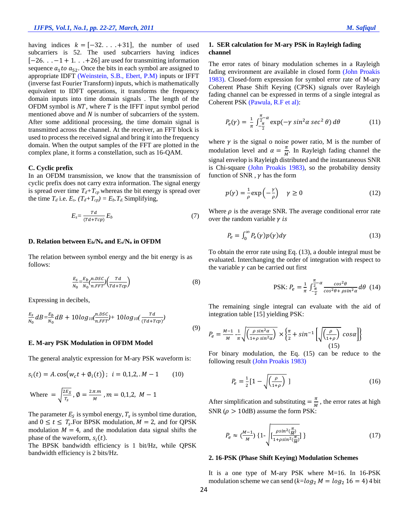having indices  $k = [-32, \ldots, +31]$ , the number of used subcarriers is 52. The used subcarriers having indices  $[-26. \ldots -1 + 1. \ldots +26]$  are used for transmitting information sequence  $a_1$  to  $a_{52}$ . Once the bits in each symbol are assigned to appropriate IDFT (Weinstein, S.B., Ebert, P.M) inputs or IFFT (inverse fast Fourier Transform) inputs, which is mathematically equivalent to IDFT operations, it transforms the frequency domain inputs into time domain signals . The length of the OFDM symbol is  $NT$ , where T is the IFFT input symbol period mentioned above and  $N$  is number of subcarriers of the system. After some additional processing, the time domain signal is transmitted across the channel. At the receiver, an FFT block is used to process the received signal and bring it into the frequency domain. When the output samples of the FFT are plotted in the complex plane, it forms a constellation, such as 16-QAM.

## **C. Cyclic prefix**

In an OFDM transmission, we know that the transmission of cyclic prefix does not carry extra information. The signal energy is spread over time  $T_d + T_{cp}$  whereas the bit energy is spread over the time  $T_d$  i.e.  $E_s$ .  $(T_d+T_{cp}) = E_b$ .  $T_d$ . Simplifying,

$$
E_s = \frac{Td}{(Td+Tcp)} E_b \tag{7}
$$

#### **D. Relation between Eb/N<sup>o</sup> and Es/N<sup>o</sup> in OFDM**

The relation between symbol energy and the bit energy is as follows:

$$
\frac{E_S}{N_0} = \frac{E_b}{N_0} \left( \frac{n.DSC}{n.FFT} \right) \left( \frac{Td}{Td + Tcp} \right) \tag{8}
$$

Expressing in decibels,

$$
\frac{E_S}{N_0}dB = \frac{E_b}{N_0}dB + 10log_{10}(\frac{n.DSC}{n.FFT}) + 10log_{10}(\frac{Td}{(Td+Tcp)})
$$
\n(9)

### **E. M-ary PSK Modulation in OFDM Model**

The general analytic expression for M-ary PSK waveform is:

$$
s_i(t) = A \cdot \cos(w_c t + \phi_i(t)); \quad i = 0, 1, 2, \dots M - 1 \tag{10}
$$

Where = 
$$
\sqrt{\frac{2E_S}{T_S}}
$$
,  $\emptyset = \frac{2.\pi m}{M}$ ,  $m = 0,1,2$ ,  $M - 1$ 

The parameter  $E_s$  is symbol energy,  $T_s$  is symbol time duration, and  $0 \le t \le T_s$ . For BPSK modulation,  $M = 2$ , and for QPSK modulation  $M = 4$ , and the modulation data signal shifts the phase of the waveform,  $s_i(t)$ .

The BPSK bandwidth efficiency is 1 bit/Hz, while QPSK bandwidth efficiency is 2 bits/Hz.

# **1. SER calculation for M-ary PSK in Rayleigh fading channel**

The error rates of binary modulation schemes in a Rayleigh fading environment are available in closed form (John Proakis 1983). Closed-form expression for symbol error rate of M-ary Coherent Phase Shift Keying (CPSK) signals over Rayleigh fading channel can be expressed in terms of a single integral as Coherent PSK (Pawula, R.F et al):

$$
P_e(\gamma) = \frac{1}{\pi} \int_{-\frac{\pi}{2}}^{\frac{\pi}{2}-\alpha} \exp(-\gamma \sin^2 \alpha \sec^2 \theta) d\theta \qquad (11)
$$

where  $\gamma$  is the signal o noise power ratio, M is the number of modulation level and  $\alpha = \frac{\pi}{M}$  $\frac{\pi}{M}$ . In Rayleigh fading channel the signal envelop is Rayleigh distributed and the instantaneous SNR is Chi-square (John Proakis 1983), so the probability density function of SNR,  $\nu$  has the form

$$
p(\gamma) = \frac{1}{\rho} \exp\left(-\frac{\gamma}{\rho}\right) \quad \gamma \ge 0 \tag{12}
$$

Where  $\rho$  is the average SNR. The average conditional error rate over the random variable  $\nu$  is

$$
P_e = \int_0^\infty P_e(\gamma) p(\gamma) d\gamma \tag{13}
$$

To obtain the error rate using Eq. (13), a double integral must be evaluated. Interchanging the order of integration with respect to the variable  $\gamma$  can be carried out first

PSK: 
$$
P_e = \frac{1}{\pi} \int_{-\frac{\pi}{2}}^{\frac{\pi}{2}-\alpha} \frac{\cos^2\theta}{\cos^2\theta + \rho\sin^2\alpha} d\theta
$$
 (14)

The remaining single integral can evaluate with the aid of integration table [15] yielding PSK:

$$
P_e = \frac{M-1}{M} \frac{1}{\pi} \sqrt{\left(\frac{\rho \sin^2 \alpha}{1 + \rho \sin^2 \alpha}\right)} \times \left\{\frac{\pi}{2} + \sin^{-1}\left[\sqrt{\left(\frac{\rho}{1 + \rho}\right)} \cos \alpha\right]\right\}
$$
(15)

For binary modulation, the Eq. (15) can be reduce to the following result (John Proakis 1983)

$$
P_e = \frac{1}{2} \left[ 1 - \sqrt{\left( \frac{\rho}{1 + \rho} \right)} \right] \tag{16}
$$

After simplification and substituting  $=\frac{\pi}{\lambda}$  $\frac{n}{M}$ , the error rates at high SNR ( $\rho > 10$ dB) assume the form PSK:

$$
P_e \approx \left(\frac{M-1}{M}\right) \left\{1 - \sqrt{\frac{\rho \sin^2(\frac{\pi}{M})}{1 + \rho \sin^2(\frac{\pi}{M})}}\right\} \tag{17}
$$

#### **2. 16-PSK (Phase Shift Keying) Modulation Schemes**

It is a one type of M-ary PSK where M=16. In 16-PSK modulation scheme we can send  $(k = log_2 M = log_2 16 = 4)$  4 bit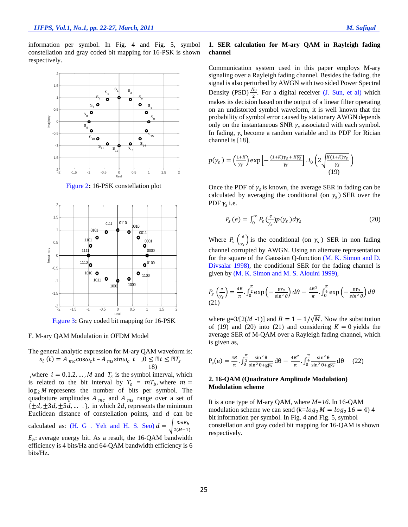information per symbol. In Fig. 4 and Fig. 5, symbol constellation and gray coded bit mapping for 16-PSK is shown respectively.



Figure 2**:** 16-PSK constellation plot



Figure 3**:** Gray coded bit mapping for 16-PSK

#### F. M-ary QAM Modulation in OFDM Model

The general analytic expression for M-ary QAM waveform is:  $s_i(t) = A_{mc} \cos \omega_c t - A_{ms} \sin \omega_c t$ ,  $0 \le \mathbb{Z} t \le \mathbb{Z} T_s$ 18)

where  $i = 0, 1, 2, ..., M$  and  $T_s$  is the symbol interval, which is related to the bit interval by  $T_s = mT_b$ , where  $m =$  $\log_2 M$  represents the number of bits per symbol. The quadrature amplitudes  $A_{mc}$  and  $A_{ms}$  range over a set of  $\{\pm d, \pm 3d, \pm 5d, \dots \}$ , in which 2d, represents the minimum Euclidean distance of constellation points, and  $d$  can be calculated as: (H. G. Yeh and H. S. Seo)  $d =$  $3mE_b$  $\frac{3mE_b}{2(M-1)}$  $E_b$ : average energy bit. As a result, the 16-QAM bandwidth efficiency is 4 bits/Hz and 64-QAM bandwidth efficiency is 6 bits/Hz.

# **1. SER calculation for M-ary QAM in Rayleigh fading channel**

Communication system used in this paper employs M-ary signaling over a Rayleigh fading channel. Besides the fading, the signal is also perturbed by AWGN with two sided Power Spectral Density (PSD) $\frac{N_0}{2}$  $\frac{\mu_0}{2}$ . For a digital receiver (J. Sun, et al) which makes its decision based on the output of a linear filter operating on an undistorted symbol waveform, it is well known that the probability of symbol error caused by stationary AWGN depends only on the instantaneous SNR  $\gamma_s$  associated with each symbol. In fading,  $\gamma_s$  become a random variable and its PDF for Rician channel is [18],

$$
p(\gamma_s) = \left(\frac{1+K}{\overline{\gamma_s}}\right) \exp\left[-\frac{(1+K)\gamma_s + K\overline{\gamma_s}}{\overline{\gamma_s}}\right]. I_0\left(2\sqrt{\frac{K(1+K)\gamma_s}{\overline{\gamma_s}}}\right)
$$
(19)

Once the PDF of  $\gamma_s$  is known, the average SER in fading can be calculated by averaging the conditional (on  $\gamma_s$ ) SER over the PDF  $\gamma_s$  i.e.

$$
P_{\rm s}(e) = \int_0^\infty P_{\rm s} \left(\frac{e}{\gamma_{\rm s}}\right) p(\gamma_{\rm s}) d\gamma_{\rm s} \tag{20}
$$

Where  $P_s \left(\frac{e}{v}\right)$  $\frac{\epsilon}{\gamma_s}$ ) is the conditional (on  $\gamma_s$ ) SER in non fading channel corrupted by AWGN. Using an alternate representation for the square of the Gaussian Q-function (M. K. Simon and D. Divsalar 1998), the conditional SER for the fading channel is given by (M. K. Simon and M. S. Alouini 1999),

$$
P_{\rm s}\left(\frac{e}{\gamma_{\rm s}}\right) = \frac{4B}{\pi} \cdot \int_0^{\frac{\pi}{2}} \exp\left(-\frac{\mathrm{g}\gamma_{\rm s}}{\sin^2\theta}\right) d\theta - \frac{4B^2}{\pi} \cdot \int_0^{\frac{\pi}{4}} \exp\left(-\frac{\mathrm{g}\gamma_{\rm s}}{\sin^2\theta}\right) d\theta
$$
\n(21)

where g=3/[2(M -1)] and  $B = 1 - 1/\sqrt{M}$ . Now the substitution of (19) and (20) into (21) and considering  $K = 0$  yields the average SER of M-QAM over a Rayleigh fading channel, which is given as,

$$
P_s(e) = \frac{4B}{\pi} \cdot \int_0^{\frac{\pi}{2}} \frac{\sin^2 \theta}{\sin^2 \theta + g\overline{y_s}} d\theta - \frac{4B^2}{\pi} \cdot \int_0^{\frac{\pi}{4}} \frac{\sin^2 \theta}{\sin^2 \theta + g\overline{y_s}} d\theta \quad (22)
$$

# **2. 16-QAM (Quadrature Amplitude Modulation) Modulation scheme**

It is a one type of M-ary QAM, where *M=16*. In 16-QAM modulation scheme we can send  $(k=log_2 M = log_2 16 = 4)$  4 bit information per symbol. In Fig. 4 and Fig. 5, symbol constellation and gray coded bit mapping for 16-QAM is shown respectively.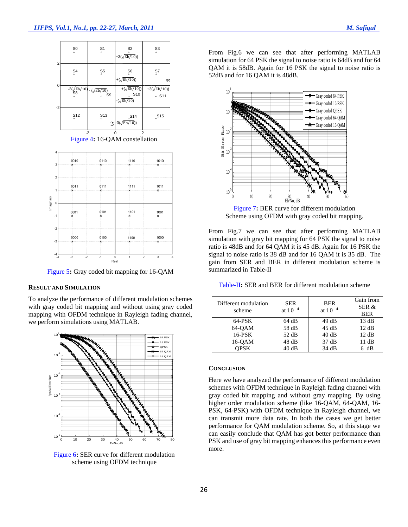| S <sub>0</sub><br>$\frac{55}{6}$<br>$\frac{56}{6}$<br>$\mathsf{S}^7_\circ$<br>$+(\sqrt{\text{Eb}/10})$<br>0<br>+( $\sqrt{\text{Eb}/10}$ ))<br>$-3(\sqrt{\frac{\text{Eb}}{10}})$<br>$\frac{-(\sqrt{Eb/10})}{s}$ S9<br>$_{\circ}$ S <sub>10</sub><br>$-(\sqrt{Eb/10})$ | $_{\circ}^{\text{S3}}$       | $_{\circ}^{\text{S2}}$<br>$+3(\sqrt{Eb/10})$ | S <sub>1</sub><br>$\circ$ | S <sub>0</sub><br>$\circ$ | $\overline{2}$ |
|----------------------------------------------------------------------------------------------------------------------------------------------------------------------------------------------------------------------------------------------------------------------|------------------------------|----------------------------------------------|---------------------------|---------------------------|----------------|
| $-2$                                                                                                                                                                                                                                                                 | R                            |                                              |                           |                           |                |
|                                                                                                                                                                                                                                                                      | $+3(\sqrt{Eb/10}))$<br>o S11 |                                              |                           |                           |                |
| $-3(\sqrt{Eb/10}))$<br>$\mathfrak{I}$                                                                                                                                                                                                                                | $_{\circ}$ S15               | $_{\circ}$ S14                               | $\int_{0}^{5}$            | $\int_{0}^{5}$            |                |

<sup>2</sup><br>Figure 4: 16-QAM constellation



Figure 5**:** Gray coded bit mapping for 16-QAM

# **RESULT AND SIMULATION**

To analyze the performance of different modulation schemes with gray coded bit mapping and without using gray coded mapping with OFDM technique in Rayleigh fading channel, we perform simulations using MATLAB.



Figure 6**:** SER curve for different modulation scheme using OFDM technique

From Fig.6 we can see that after performing MATLAB simulation for 64 PSK the signal to noise ratio is 64dB and for 64 QAM it is 58dB. Again for 16 PSK the signal to noise ratio is 52dB and for 16 OAM it is 48dB.



Figure 7**:** BER curve for different modulation Scheme using OFDM with gray coded bit mapping.

From Fig.7 we can see that after performing MATLAB simulation with gray bit mapping for 64 PSK the signal to noise ratio is 48dB and for 64 QAM it is 45 dB. Again for 16 PSK the signal to noise ratio is 38 dB and for 16 QAM it is 35 dB. The gain from SER and BER in different modulation scheme is summarized in Table-II

Table-II**:** SER and BER for different modulation scheme

| Different modulation<br>scheme | <b>SER</b><br>at $10^{-4}$ | <b>BER</b><br>at $10^{-4}$ | Gain from<br>SER &<br><b>BER</b> |
|--------------------------------|----------------------------|----------------------------|----------------------------------|
| $64$ -PSK                      | 64 dB                      | 49 dB                      | 13 dB                            |
| 64-OAM                         | 58 dB                      | 45 dB                      | 12 dB                            |
| 16-PSK                         | 52 dB                      | 40dB                       | 12 dB                            |
| 16-QAM                         | 48 dB                      | 37 dB                      | 11 dB                            |
| OPSK                           | 40dB                       | 34 dB                      | 6 dB                             |

## **CONCLUSION**

Here we have analyzed the performance of different modulation schemes with OFDM technique in Rayleigh fading channel with gray coded bit mapping and without gray mapping. By using higher order modulation scheme (like 16-QAM, 64-QAM, 16- PSK, 64-PSK) with OFDM technique in Rayleigh channel, we can transmit more data rate. In both the cases we get better performance for QAM modulation scheme. So, at this stage we can easily conclude that QAM has got better performance than PSK and use of gray bit mapping enhances this performance even more.